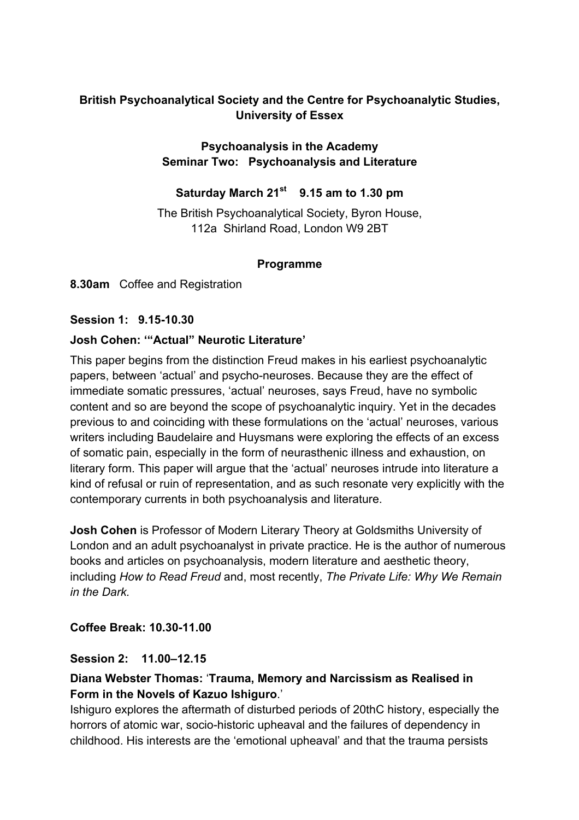# **British Psychoanalytical Society and the Centre for Psychoanalytic Studies, University of Essex**

## **Psychoanalysis in the Academy Seminar Two: Psychoanalysis and Literature**

## **Saturday March 21st 9.15 am to 1.30 pm**

The British Psychoanalytical Society, Byron House, 112a Shirland Road, London W9 2BT

#### **Programme**

**8.30am** Coffee and Registration

## **Session 1: 9.15-10.30**

#### **Josh Cohen: '"Actual" Neurotic Literature'**

This paper begins from the distinction Freud makes in his earliest psychoanalytic papers, between 'actual' and psycho-neuroses. Because they are the effect of immediate somatic pressures, 'actual' neuroses, says Freud, have no symbolic content and so are beyond the scope of psychoanalytic inquiry. Yet in the decades previous to and coinciding with these formulations on the 'actual' neuroses, various writers including Baudelaire and Huysmans were exploring the effects of an excess of somatic pain, especially in the form of neurasthenic illness and exhaustion, on literary form. This paper will argue that the 'actual' neuroses intrude into literature a kind of refusal or ruin of representation, and as such resonate very explicitly with the contemporary currents in both psychoanalysis and literature.

**Josh Cohen** is Professor of Modern Literary Theory at Goldsmiths University of London and an adult psychoanalyst in private practice. He is the author of numerous books and articles on psychoanalysis, modern literature and aesthetic theory, including *How to Read Freud* and, most recently, *The Private Life: Why We Remain in the Dark.*

## **Coffee Break: 10.30-11.00**

#### **Session 2: 11.00–12.15**

## **Diana Webster Thomas:** '**Trauma, Memory and Narcissism as Realised in Form in the Novels of Kazuo Ishiguro**.'

Ishiguro explores the aftermath of disturbed periods of 20thC history, especially the horrors of atomic war, socio-historic upheaval and the failures of dependency in childhood. His interests are the 'emotional upheaval' and that the trauma persists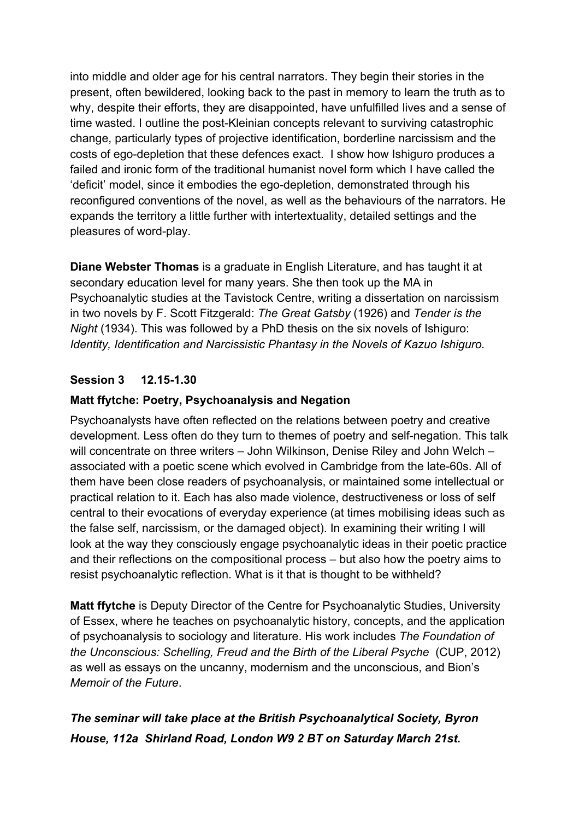into middle and older age for his central narrators. They begin their stories in the present, often bewildered, looking back to the past in memory to learn the truth as to why, despite their efforts, they are disappointed, have unfulfilled lives and a sense of time wasted. I outline the post-Kleinian concepts relevant to surviving catastrophic change, particularly types of projective identification, borderline narcissism and the costs of ego-depletion that these defences exact. I show how Ishiguro produces a failed and ironic form of the traditional humanist novel form which I have called the 'deficit' model, since it embodies the ego-depletion, demonstrated through his reconfigured conventions of the novel, as well as the behaviours of the narrators. He expands the territory a little further with intertextuality, detailed settings and the pleasures of word-play.

**Diane Webster Thomas** is a graduate in English Literature, and has taught it at secondary education level for many years. She then took up the MA in Psychoanalytic studies at the Tavistock Centre, writing a dissertation on narcissism in two novels by F. Scott Fitzgerald: *The Great Gatsby* (1926) and *Tender is the Night* (1934). This was followed by a PhD thesis on the six novels of Ishiguro: *Identity, Identification and Narcissistic Phantasy in the Novels of Kazuo Ishiguro.* 

# **Session 3 12.15-1.30**

## **Matt ffytche: Poetry, Psychoanalysis and Negation**

Psychoanalysts have often reflected on the relations between poetry and creative development. Less often do they turn to themes of poetry and self-negation. This talk will concentrate on three writers – John Wilkinson, Denise Riley and John Welch – associated with a poetic scene which evolved in Cambridge from the late-60s. All of them have been close readers of psychoanalysis, or maintained some intellectual or practical relation to it. Each has also made violence, destructiveness or loss of self central to their evocations of everyday experience (at times mobilising ideas such as the false self, narcissism, or the damaged object). In examining their writing I will look at the way they consciously engage psychoanalytic ideas in their poetic practice and their reflections on the compositional process – but also how the poetry aims to resist psychoanalytic reflection. What is it that is thought to be withheld?

**Matt ffytche** is Deputy Director of the Centre for Psychoanalytic Studies, University of Essex, where he teaches on psychoanalytic history, concepts, and the application of psychoanalysis to sociology and literature. His work includes *The Foundation of the Unconscious: Schelling, Freud and the Birth of the Liberal Psyche* (CUP, 2012) as well as essays on the uncanny, modernism and the unconscious, and Bion's *Memoir of the Future*.

# *The seminar will take place at the British Psychoanalytical Society, Byron House, 112a Shirland Road, London W9 2 BT on Saturday March 21st.*